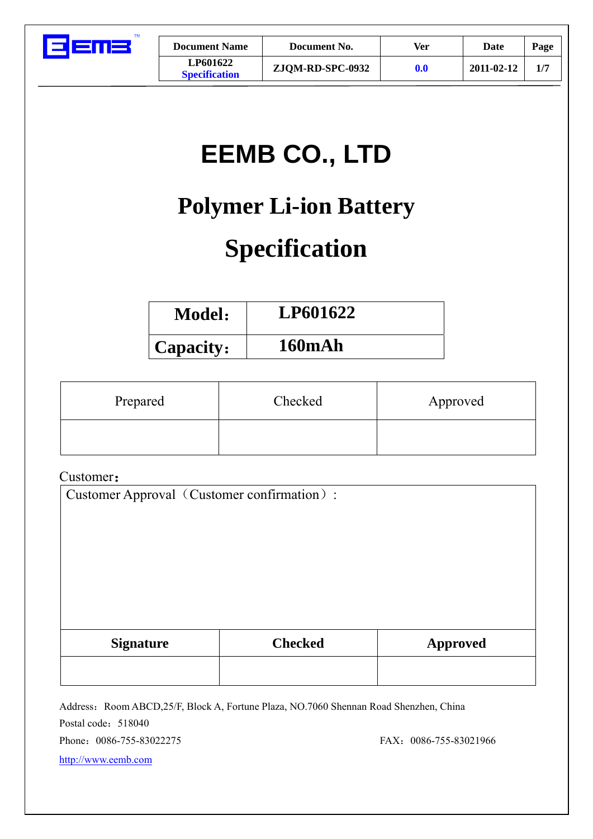

| <b>Document Name</b>                    | Document No.     | Ver                | Date       | Page |
|-----------------------------------------|------------------|--------------------|------------|------|
| <b>LP601622</b><br><b>Specification</b> | ZJQM-RD-SPC-0932 | $\boldsymbol{0.0}$ | 2011-02-12 |      |

# **EEMB CO., LTD**

# **Polymer Li-ion Battery**

# **Specification**

| <b>Model:</b> | LP601622      |
|---------------|---------------|
| 'Capacity:    | <b>160mAh</b> |

| Prepared | Checked | Approved |
|----------|---------|----------|
|          |         |          |

## Customer:

Customer Approval (Customer confirmation):

| <b>Signature</b> | <b>Checked</b> | <b>Approved</b> |
|------------------|----------------|-----------------|
|                  |                |                 |

Address: Room ABCD,25/F, Block A, Fortune Plaza, NO.7060 Shennan Road Shenzhen, China Postal code: 518040 Phone: 0086-755-83022275 FAX: 0086-755-83021966

http://www.eemb.com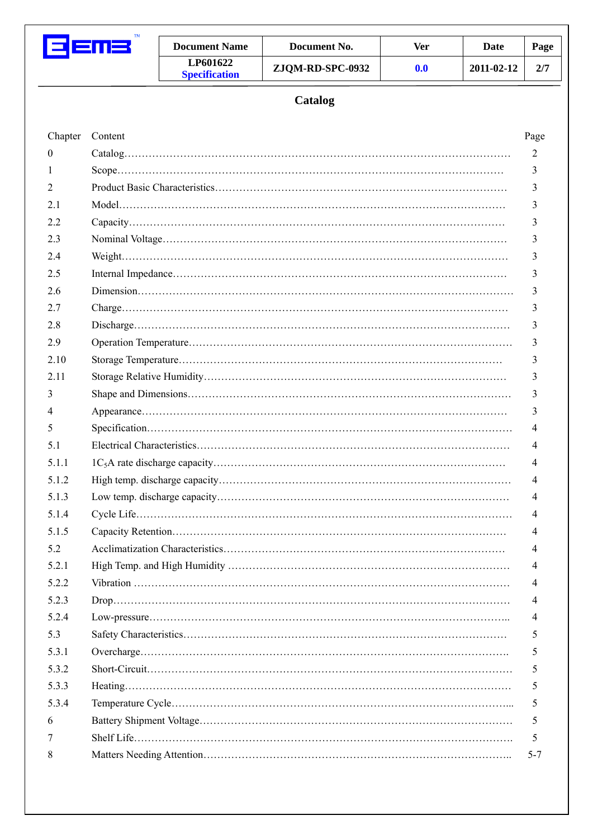

| <b>Document Name</b>                    | Document No.     | Ver                | Date       | Page |
|-----------------------------------------|------------------|--------------------|------------|------|
| <b>LP601622</b><br><b>Specification</b> | ZJQM-RD-SPC-0932 | $\boldsymbol{0.0}$ | 2011-02-12 |      |

# **Catalog**

| Chapter          | Content | Page    |
|------------------|---------|---------|
| $\boldsymbol{0}$ |         | 2       |
| 1                |         | 3       |
| 2                |         | 3       |
| 2.1              |         | 3       |
| 2.2              |         | 3       |
| 2.3              |         | 3       |
| 2.4              |         | 3       |
| 2.5              |         | 3       |
| 2.6              |         | 3       |
| 2.7              |         | 3       |
| 2.8              |         | 3       |
| 2.9              |         | 3       |
| 2.10             |         | 3       |
| 2.11             |         | 3       |
| 3                |         | 3       |
| 4                |         | 3       |
| 5                |         | 4       |
| 5.1              |         | 4       |
| 5.1.1            |         | 4       |
| 5.1.2            |         | 4       |
| 5.1.3            |         | 4       |
| 5.1.4            |         | 4       |
| 5.1.5            |         | 4       |
| 5.2              |         | 4       |
| 5.2.1            |         | 4       |
| 5.2.2            |         | 4       |
| 5.2.3            |         | 4       |
| 5.2.4            |         | 4       |
| 5.3              |         | 5       |
| 5.3.1            |         | 5       |
| 5.3.2            |         | 5       |
| 5.3.3            |         | 5       |
| 5.3.4            |         | 5       |
| 6                |         | 5       |
| 7                |         | 5       |
| 8                |         | $5 - 7$ |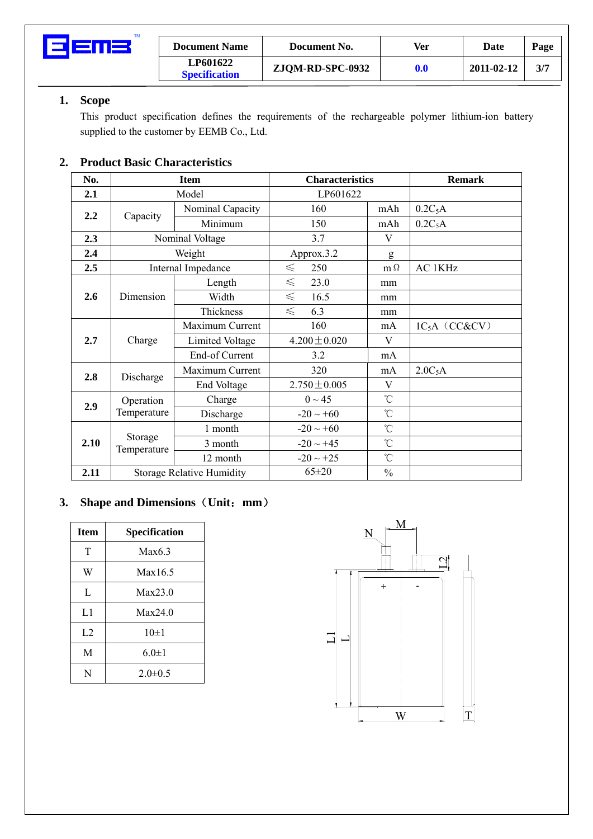

| <b>Document Name</b>             | Document No.     | Ver | Date       | Page |
|----------------------------------|------------------|-----|------------|------|
| LP601622<br><b>Specification</b> | ZJQM-RD-SPC-0932 | 0.0 | 2011-02-12 | 3/7  |

## **1. Scope**

This product specification defines the requirements of the rechargeable polymer lithium-ion battery supplied to the customer by EEMB Co., Ltd.

## **2. Product Basic Characteristics**

| No.  |                                  | <b>Item</b>            | <b>Characteristics</b> |                 | <b>Remark</b>       |
|------|----------------------------------|------------------------|------------------------|-----------------|---------------------|
| 2.1  |                                  | Model                  | LP601622               |                 |                     |
|      |                                  | Nominal Capacity       | 160                    | mAh             | $0.2C_5A$           |
| 2.2  | Capacity                         | Minimum                | 150                    | mAh             | $0.2C_5A$           |
| 2.3  |                                  | Nominal Voltage        | 3.7                    | V               |                     |
| 2.4  |                                  | Weight                 | Approx.3.2             | g               |                     |
| 2.5  |                                  | Internal Impedance     | 250<br>$\leq$          | $m\Omega$       | <b>AC 1KHz</b>      |
|      |                                  | Length                 | $\leq$<br>23.0         | mm              |                     |
| 2.6  | Dimension                        | Width                  | $\leq$<br>16.5         | mm              |                     |
|      |                                  | Thickness              | $\leq$<br>6.3          | mm              |                     |
|      | Charge                           | Maximum Current        | 160                    | mA              | $1C_5A$ (CC&CV)     |
| 2.7  |                                  | <b>Limited Voltage</b> | $4.200 \pm 0.020$      | $\mathbf{V}$    |                     |
|      |                                  | End-of Current         | 3.2                    | mA              |                     |
| 2.8  | Discharge                        | Maximum Current        | 320                    | mA              | 2.0C <sub>5</sub> A |
|      |                                  | End Voltage            | $2.750 \pm 0.005$      | V               |                     |
| 2.9  | Operation                        | Charge                 | $0 \sim 45$            | $\rm ^{\circ}C$ |                     |
|      | Temperature                      | Discharge              | $-20 \sim +60$         | $\rm ^{\circ}C$ |                     |
|      |                                  | 1 month                | $-20 \sim +60$         | $\rm ^{\circ}C$ |                     |
| 2.10 | Storage<br>Temperature           | 3 month                | $-20 \sim +45$         | $\rm ^{\circ}C$ |                     |
|      |                                  | 12 month               | $-20 \sim +25$         | $\rm ^{\circ}C$ |                     |
| 2.11 | <b>Storage Relative Humidity</b> |                        | $65 \pm 20$            | $\frac{0}{0}$   |                     |

## **3. Shape and Dimensions**(**Unit**:**mm**)

| <b>Item</b> | Specification |
|-------------|---------------|
| T           | Max6.3        |
| W           | Max16.5       |
| L           | Max23.0       |
| L1          | Max24.0       |
| L2          | $10\pm1$      |
| M           | $6.0 \pm 1$   |
| N           | $2.0 \pm 0.5$ |

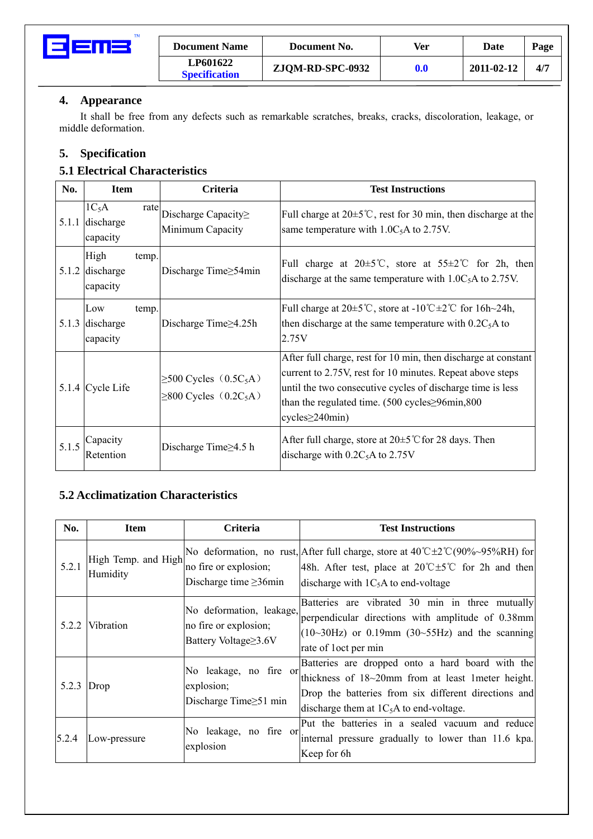

| <b>Document Name</b>             | Document No.     | Ver              | Date       | Page |
|----------------------------------|------------------|------------------|------------|------|
| LP601622<br><b>Specification</b> | ZJQM-RD-SPC-0932 | 0.0 <sub>1</sub> | 2011-02-12 | 4/7  |

### **4. Appearance**

It shall be free from any defects such as remarkable scratches, breaks, cracks, discoloration, leakage, or middle deformation.

### **5. Specification**

## **5.1 Electrical Characteristics**

| No.   | <b>Item</b>                                    | <b>Criteria</b>                                                                    | <b>Test Instructions</b>                                                                                                                                                                                                                                                                      |
|-------|------------------------------------------------|------------------------------------------------------------------------------------|-----------------------------------------------------------------------------------------------------------------------------------------------------------------------------------------------------------------------------------------------------------------------------------------------|
| 5.1.1 | $1C_5A$<br>rate<br>discharge<br>capacity       | Discharge Capacity $\geq$<br>Minimum Capacity                                      | Full charge at $20 \pm 5^{\circ}$ C, rest for 30 min, then discharge at the<br>same temperature with $1.0C_5A$ to 2.75V.                                                                                                                                                                      |
|       | High<br>temp.<br>$5.1.2$ discharge<br>capacity | Discharge Time≥54min                                                               | Full charge at $20 \pm 5^{\circ}$ C, store at $55 \pm 2^{\circ}$ C for 2h, then<br>discharge at the same temperature with $1.0C_5A$ to 2.75V.                                                                                                                                                 |
| 5.1.3 | Low<br>temp.<br>discharge<br>capacity          | Discharge Time $\geq$ 4.25h                                                        | Full charge at $20\pm 5^{\circ}\text{C}$ , store at $-10^{\circ}\text{C} \pm 2^{\circ}\text{C}$ for $16h-24h$ ,<br>then discharge at the same temperature with $0.2C_5A$ to<br>2.75V                                                                                                          |
|       | 5.1.4 Cycle Life                               | $\geq$ 500 Cycles (0.5C <sub>5</sub> A)<br>$\geq$ 800 Cycles (0.2C <sub>5</sub> A) | After full charge, rest for 10 min, then discharge at constant<br>current to 2.75V, rest for 10 minutes. Repeat above steps<br>until the two consecutive cycles of discharge time is less<br>than the regulated time. $(500 \text{ cycles} \ge 96 \text{min}, 800)$<br>$cycles \geq 240$ min) |
| 5.1.5 | Capacity<br>Retention                          | Discharge Time $\geq$ 4.5 h                                                        | After full charge, store at $20 \pm 5^{\circ}$ C for 28 days. Then<br>discharge with $0.2C_5$ A to 2.75V                                                                                                                                                                                      |

#### **5.2 Acclimatization Characteristics**

| No.   | <b>Item</b>                     | Criteria                                                                  | <b>Test Instructions</b>                                                                                                                                                                                            |
|-------|---------------------------------|---------------------------------------------------------------------------|---------------------------------------------------------------------------------------------------------------------------------------------------------------------------------------------------------------------|
| 5.2.1 | High Temp. and High<br>Humidity | no fire or explosion;<br>Discharge time $\geq$ 36min                      | No deformation, no rust, After full charge, store at $40^{\circ}C\pm2^{\circ}C(90\%~95\%RH)$ for<br>48h. After test, place at $20^{\circ}C \pm 5^{\circ}C$ for 2h and then<br>discharge with $1C_5A$ to end-voltage |
|       | 5.2.2 Vibration                 | No deformation, leakage,<br>no fire or explosion;<br>Battery Voltage≥3.6V | Batteries are vibrated 30 min in three mutually<br>perpendicular directions with amplitude of 0.38mm<br>$(10{\sim}30\text{Hz})$ or 0.19mm $(30{\sim}55\text{Hz})$ and the scanning<br>rate of loct per min          |
| 5.2.3 | Drop                            | No leakage, no fire or<br>explosion;<br>Discharge Time $\geq 51$ min      | Batteries are dropped onto a hard board with the<br>thickness of 18~20mm from at least 1meter height.<br>Drop the batteries from six different directions and<br>discharge them at $1C_5A$ to end-voltage.          |
| 5.2.4 | Low-pressure                    | No leakage, no fire or<br>explosion                                       | Put the batteries in a sealed vacuum and reduce<br>internal pressure gradually to lower than 11.6 kpa.<br>Keep for 6h                                                                                               |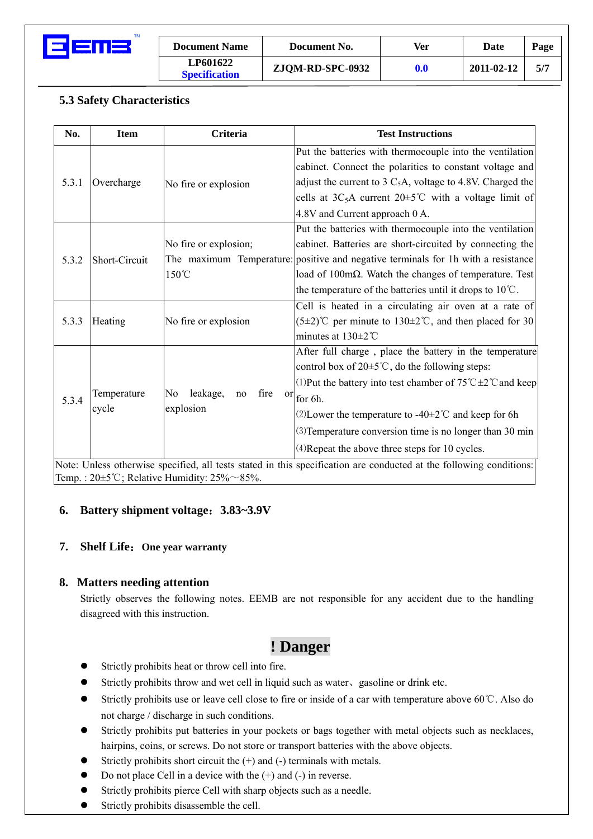

| <b>Document Name</b>                    | Document No.     | Ver | Date       | Page |
|-----------------------------------------|------------------|-----|------------|------|
| <b>LP601622</b><br><b>Specification</b> | ZJQM-RD-SPC-0932 | 0.0 | 2011-02-12 | 5/7  |

## **5.3 Safety Characteristics**

| No.   | <b>Item</b>          | <b>Criteria</b>                                 | <b>Test Instructions</b>                                                                                                                                                                                                                                                                                                                                                                                                                                                                                                        |
|-------|----------------------|-------------------------------------------------|---------------------------------------------------------------------------------------------------------------------------------------------------------------------------------------------------------------------------------------------------------------------------------------------------------------------------------------------------------------------------------------------------------------------------------------------------------------------------------------------------------------------------------|
| 5.3.1 | Overcharge           | No fire or explosion                            | Put the batteries with thermocouple into the ventilation<br>cabinet. Connect the polarities to constant voltage and<br>adjust the current to 3 $C_5A$ , voltage to 4.8V. Charged the<br>cells at $3C_5A$ current $20 \pm 5^{\circ}C$ with a voltage limit of<br>4.8V and Current approach 0 A.                                                                                                                                                                                                                                  |
| 5.3.2 | Short-Circuit        | No fire or explosion;<br>150°C                  | Put the batteries with thermocouple into the ventilation<br>cabinet. Batteries are short-circuited by connecting the<br>The maximum Temperature: positive and negative terminals for 1h with a resistance<br>load of 100m $\Omega$ . Watch the changes of temperature. Test<br>the temperature of the batteries until it drops to $10^{\circ}$ C.                                                                                                                                                                               |
| 5.3.3 | Heating              | No fire or explosion                            | Cell is heated in a circulating air oven at a rate of<br>$(5\pm2)$ °C per minute to 130 $\pm2$ °C, and then placed for 30<br>minutes at $130 \pm 2^{\circ}$ C                                                                                                                                                                                                                                                                                                                                                                   |
| 5.3.4 | Temperature<br>cycle | leakage,<br>No<br>fire<br>no<br>or<br>explosion | After full charge, place the battery in the temperature<br>control box of $20 \pm 5^{\circ}$ C, do the following steps:<br>(1) Put the battery into test chamber of $75^{\circ}$ C $\pm$ 2 $^{\circ}$ C and keep<br>for 6h.<br>(2) Lower the temperature to -40 $\pm$ 2°C and keep for 6h<br>(3) Temperature conversion time is no longer than 30 min<br>(4) Repeat the above three steps for 10 cycles.<br>Note: Unless otherwise specified, all tests stated in this specification are conducted at the following conditions: |

Temp. :  $20 \pm 5^{\circ}$ C; Relative Humidity:  $25\% \sim 85\%$ .

#### **6. Battery shipment voltage**:**3.83~3.9V**

#### **7. Shelf Life**:**One year warranty**

#### **8. Matters needing attention**

Strictly observes the following notes. EEMB are not responsible for any accident due to the handling disagreed with this instruction.

# **! Danger**

- Strictly prohibits heat or throw cell into fire.
- Strictly prohibits throw and wet cell in liquid such as water, gasoline or drink etc.
- z Strictly prohibits use or leave cell close to fire or inside of a car with temperature above 60℃. Also do not charge / discharge in such conditions.
- Strictly prohibits put batteries in your pockets or bags together with metal objects such as necklaces, hairpins, coins, or screws. Do not store or transport batteries with the above objects.
- Strictly prohibits short circuit the  $(+)$  and  $(-)$  terminals with metals.
- Do not place Cell in a device with the  $(+)$  and  $(-)$  in reverse.
- Strictly prohibits pierce Cell with sharp objects such as a needle.
- Strictly prohibits disassemble the cell.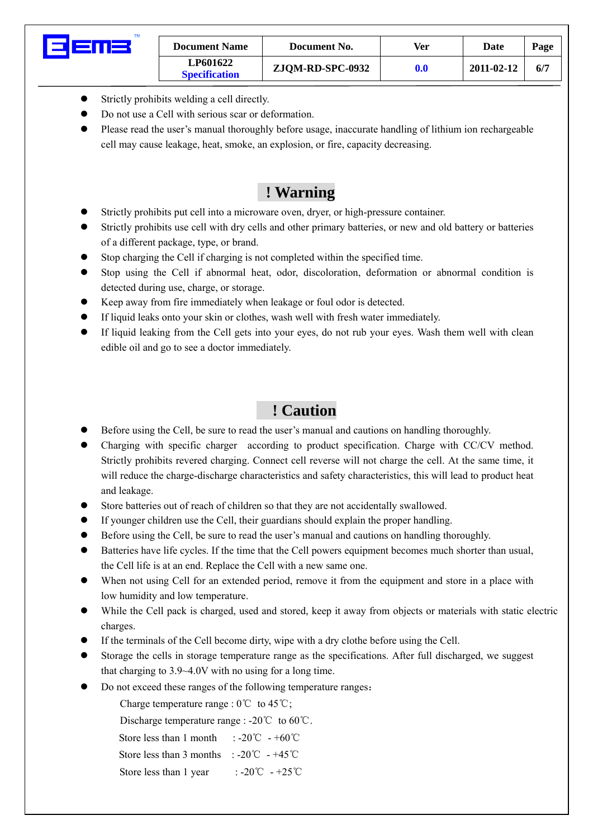| TМ | <b>Document Name</b>                    | Document No.     | Ver                | Date       | Page |
|----|-----------------------------------------|------------------|--------------------|------------|------|
|    | <b>LP601622</b><br><b>Specification</b> | ZJQM-RD-SPC-0932 | $\boldsymbol{0.0}$ | 2011-02-12 | 6/7  |

- $\bullet$  Strictly prohibits welding a cell directly.
- Do not use a Cell with serious scar or deformation.
- Please read the user's manual thoroughly before usage, inaccurate handling of lithium ion rechargeable cell may cause leakage, heat, smoke, an explosion, or fire, capacity decreasing.

# **! Warning**

- Strictly prohibits put cell into a microware oven, dryer, or high-pressure container.
- Strictly prohibits use cell with dry cells and other primary batteries, or new and old battery or batteries of a different package, type, or brand.
- Stop charging the Cell if charging is not completed within the specified time.
- Stop using the Cell if abnormal heat, odor, discoloration, deformation or abnormal condition is detected during use, charge, or storage.
- Keep away from fire immediately when leakage or foul odor is detected.
- If liquid leaks onto your skin or clothes, wash well with fresh water immediately.
- If liquid leaking from the Cell gets into your eyes, do not rub your eyes. Wash them well with clean edible oil and go to see a doctor immediately.

# **! Caution**

- Before using the Cell, be sure to read the user's manual and cautions on handling thoroughly.
- Charging with specific charger according to product specification. Charge with CC/CV method. Strictly prohibits revered charging. Connect cell reverse will not charge the cell. At the same time, it will reduce the charge-discharge characteristics and safety characteristics, this will lead to product heat and leakage.
- Store batteries out of reach of children so that they are not accidentally swallowed.
- If younger children use the Cell, their guardians should explain the proper handling.
- Before using the Cell, be sure to read the user's manual and cautions on handling thoroughly.
- Batteries have life cycles. If the time that the Cell powers equipment becomes much shorter than usual, the Cell life is at an end. Replace the Cell with a new same one.
- When not using Cell for an extended period, remove it from the equipment and store in a place with low humidity and low temperature.
- While the Cell pack is charged, used and stored, keep it away from objects or materials with static electric charges.
- If the terminals of the Cell become dirty, wipe with a dry clothe before using the Cell.
- Storage the cells in storage temperature range as the specifications. After full discharged, we suggest that charging to 3.9~4.0V with no using for a long time.
- Do not exceed these ranges of the following temperature ranges:

Charge temperature range :  $0^{\circ}$ C to  $45^{\circ}$ C;

Discharge temperature range : -20℃ to 60℃.

Store less than 1 month :  $-20^{\circ}$   $\text{C}$   $-+60^{\circ}$ 

Store less than 3 months :  $-20^{\circ}\text{C}$  -  $+45^{\circ}\text{C}$ 

Store less than 1 year  $: -20^{\circ}\text{C}$  -  $+25^{\circ}\text{C}$